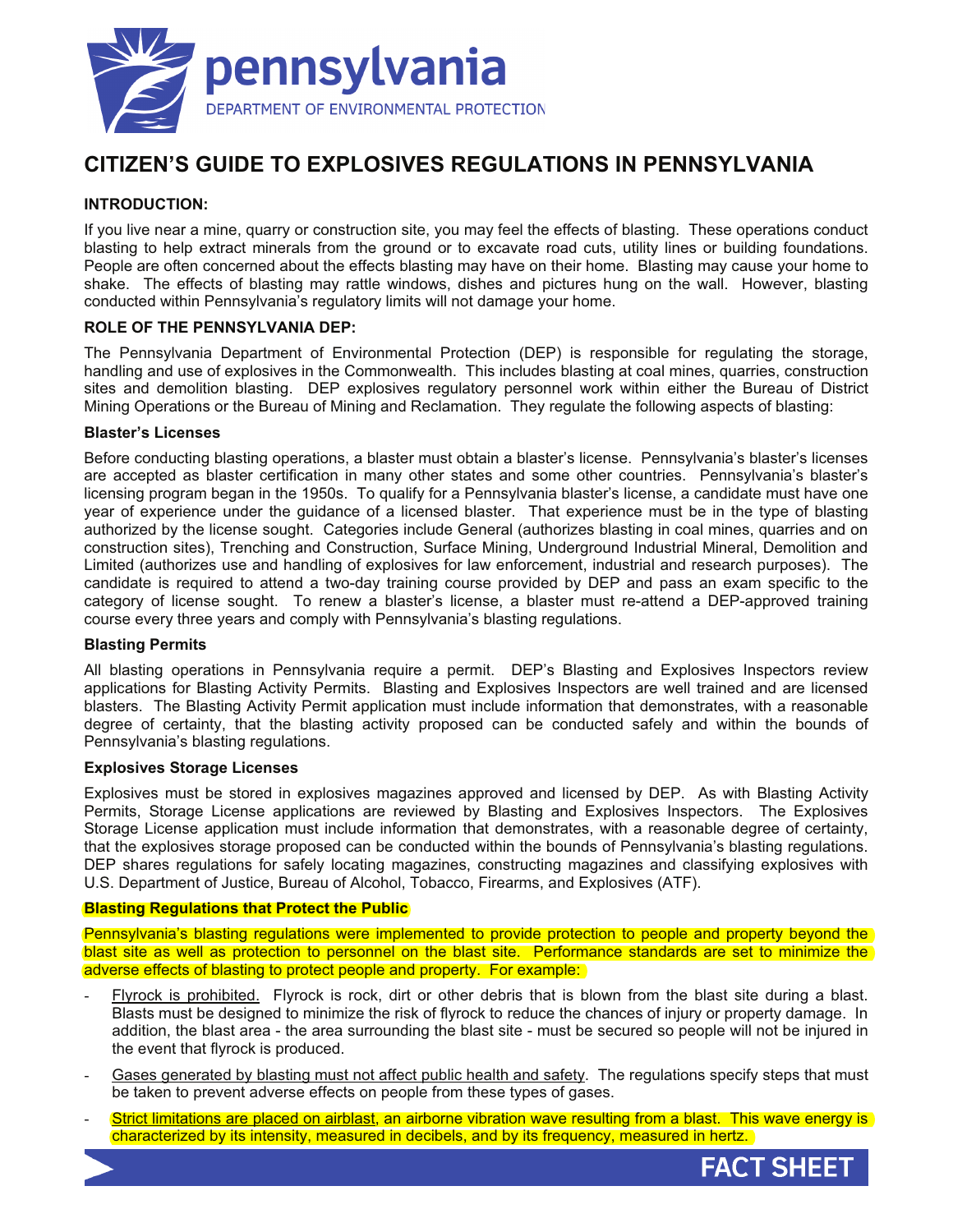

# **CITIZEN'S GUIDE TO EXPLOSIVES REGULATIONS IN PENNSYLVANIA**

# **INTRODUCTION:**

If you live near a mine, quarry or construction site, you may feel the effects of blasting. These operations conduct blasting to help extract minerals from the ground or to excavate road cuts, utility lines or building foundations. People are often concerned about the effects blasting may have on their home. Blasting may cause your home to shake. The effects of blasting may rattle windows, dishes and pictures hung on the wall. However, blasting conducted within Pennsylvania's regulatory limits will not damage your home.

## **ROLE OF THE PENNSYLVANIA DEP:**

The Pennsylvania Department of Environmental Protection (DEP) is responsible for regulating the storage, handling and use of explosives in the Commonwealth. This includes blasting at coal mines, quarries, construction sites and demolition blasting. DEP explosives regulatory personnel work within either the Bureau of District Mining Operations or the Bureau of Mining and Reclamation. They regulate the following aspects of blasting:

#### **Blaster's Licenses**

Before conducting blasting operations, a blaster must obtain a blaster's license. Pennsylvania's blaster's licenses are accepted as blaster certification in many other states and some other countries. Pennsylvania's blaster's licensing program began in the 1950s. To qualify for a Pennsylvania blaster's license, a candidate must have one year of experience under the guidance of a licensed blaster. That experience must be in the type of blasting authorized by the license sought. Categories include General (authorizes blasting in coal mines, quarries and on construction sites), Trenching and Construction, Surface Mining, Underground Industrial Mineral, Demolition and Limited (authorizes use and handling of explosives for law enforcement, industrial and research purposes). The candidate is required to attend a two-day training course provided by DEP and pass an exam specific to the category of license sought. To renew a blaster's license, a blaster must re-attend a DEP-approved training course every three years and comply with Pennsylvania's blasting regulations.

#### **Blasting Permits**

All blasting operations in Pennsylvania require a permit. DEP's Blasting and Explosives Inspectors review applications for Blasting Activity Permits. Blasting and Explosives Inspectors are well trained and are licensed blasters. The Blasting Activity Permit application must include information that demonstrates, with a reasonable degree of certainty, that the blasting activity proposed can be conducted safely and within the bounds of Pennsylvania's blasting regulations.

#### **Explosives Storage Licenses**

Explosives must be stored in explosives magazines approved and licensed by DEP. As with Blasting Activity Permits, Storage License applications are reviewed by Blasting and Explosives Inspectors. The Explosives Storage License application must include information that demonstrates, with a reasonable degree of certainty, that the explosives storage proposed can be conducted within the bounds of Pennsylvania's blasting regulations. DEP shares regulations for safely locating magazines, constructing magazines and classifying explosives with U.S. Department of Justice, Bureau of Alcohol, Tobacco, Firearms, and Explosives (ATF).

#### **Blasting Regulations that Protect the Public**

Pennsylvania's blasting regulations were implemented to provide protection to people and property beyond the blast site as well as protection to personnel on the blast site. Performance standards are set to minimize the adverse effects of blasting to protect people and property. For example:

- Flyrock is prohibited. Flyrock is rock, dirt or other debris that is blown from the blast site during a blast. Blasts must be designed to minimize the risk of flyrock to reduce the chances of injury or property damage. In addition, the blast area - the area surrounding the blast site - must be secured so people will not be injured in the event that flyrock is produced.
- Gases generated by blasting must not affect public health and safety. The regulations specify steps that must be taken to prevent adverse effects on people from these types of gases.
- Strict limitations are placed on airblast, an airborne vibration wave resulting from a blast. This wave energy is characterized by its intensity, measured in decibels, and by its frequency, measured in hertz.